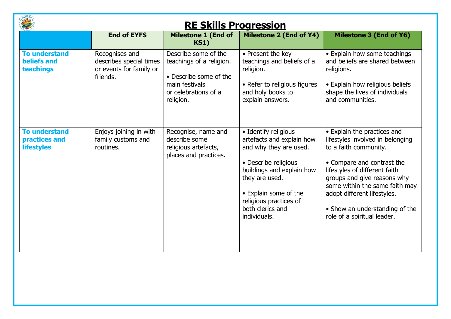|                                                            | <b>RE Skills Progression</b>                                                     |                                                                                                                                   |                                                                                                                                                                                                                                           |                                                                                                                                                                                                                                                                                                                          |  |  |
|------------------------------------------------------------|----------------------------------------------------------------------------------|-----------------------------------------------------------------------------------------------------------------------------------|-------------------------------------------------------------------------------------------------------------------------------------------------------------------------------------------------------------------------------------------|--------------------------------------------------------------------------------------------------------------------------------------------------------------------------------------------------------------------------------------------------------------------------------------------------------------------------|--|--|
|                                                            | <b>End of EYFS</b>                                                               | <b>Milestone 1 (End of</b><br><b>KS1)</b>                                                                                         | Milestone 2 (End of Y4)                                                                                                                                                                                                                   | <b>Milestone 3 (End of Y6)</b>                                                                                                                                                                                                                                                                                           |  |  |
| <b>To understand</b><br>beliefs and<br>teachings           | Recognises and<br>describes special times<br>or events for family or<br>friends. | Describe some of the<br>teachings of a religion.<br>• Describe some of the<br>main festivals<br>or celebrations of a<br>religion. | • Present the key<br>teachings and beliefs of a<br>religion.<br>• Refer to religious figures<br>and holy books to<br>explain answers.                                                                                                     | • Explain how some teachings<br>and beliefs are shared between<br>religions.<br>• Explain how religious beliefs<br>shape the lives of individuals<br>and communities.                                                                                                                                                    |  |  |
| <b>To understand</b><br>practices and<br><b>lifestyles</b> | Enjoys joining in with<br>family customs and<br>routines.                        | Recognise, name and<br>describe some<br>religious artefacts,<br>places and practices.                                             | • Identify religious<br>artefacts and explain how<br>and why they are used.<br>• Describe religious<br>buildings and explain how<br>they are used.<br>• Explain some of the<br>religious practices of<br>both clerics and<br>individuals. | • Explain the practices and<br>lifestyles involved in belonging<br>to a faith community.<br>• Compare and contrast the<br>lifestyles of different faith<br>groups and give reasons why<br>some within the same faith may<br>adopt different lifestyles.<br>• Show an understanding of the<br>role of a spiritual leader. |  |  |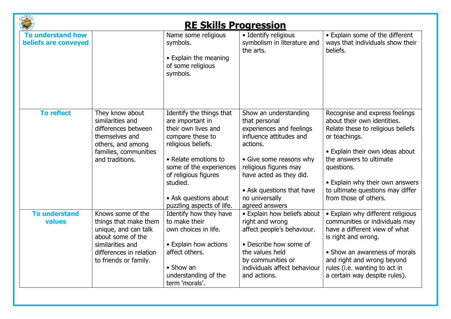|                                                  |                                                                                                                                                                 | <b>RE Skills Progression</b>                                                                                                                                                                                                                               |                                                                                                                                                                                                                                                           |                                                                                                                                                                                                                                                                                                 |
|--------------------------------------------------|-----------------------------------------------------------------------------------------------------------------------------------------------------------------|------------------------------------------------------------------------------------------------------------------------------------------------------------------------------------------------------------------------------------------------------------|-----------------------------------------------------------------------------------------------------------------------------------------------------------------------------------------------------------------------------------------------------------|-------------------------------------------------------------------------------------------------------------------------------------------------------------------------------------------------------------------------------------------------------------------------------------------------|
| <b>To understand how</b><br>beliefs are conveyed |                                                                                                                                                                 | Name some religious<br>symbols.<br>• Explain the meaning<br>of some religious<br>symbols.                                                                                                                                                                  | • Identify religious<br>symbolism in literature and<br>the arts.                                                                                                                                                                                          | • Explain some of the different<br>ways that individuals show their<br>beliefs.                                                                                                                                                                                                                 |
| <b>To reflect</b>                                | They know about<br>similarities and<br>differences between<br>themselves and<br>others, and among<br>families, communities<br>and traditions.                   | Identify the things that<br>are important in<br>their own lives and<br>compare these to<br>religious beliefs.<br>• Relate emotions to<br>some of the experiences<br>of religious figures<br>studied.<br>• Ask questions about<br>puzzling aspects of life. | Show an understanding<br>that personal<br>experiences and feelings<br>influence attitudes and<br>actions.<br>• Give some reasons why<br>religious figures may<br>have acted as they did.<br>• Ask questions that have<br>no universally<br>agreed answers | Recognise and express feelings<br>about their own identities.<br>Relate these to religious beliefs<br>or teachings.<br>• Explain their own ideas about<br>the answers to ultimate<br>questions.<br>• Explain why their own answers<br>to ultimate questions may differ<br>from those of others. |
| <b>To understand</b><br>values                   | Knows some of the<br>things that make them<br>unique, and can talk<br>about some of the<br>similarities and<br>differences in relation<br>to friends or family. | Identify how they have<br>to make their<br>own choices in life.<br>• Explain how actions<br>affect others.<br>$\bullet$ Show an<br>understanding of the<br>term 'morals'.                                                                                  | • Explain how beliefs about<br>right and wrong<br>affect people's behaviour.<br>• Describe how some of<br>the values held<br>by communities or<br>individuals affect behaviour<br>and actions.                                                            | • Explain why different religious<br>communities or individuals may<br>have a different view of what<br>is right and wrong.<br>• Show an awareness of morals<br>and right and wrong beyond<br>rules (i.e. wanting to act in<br>a certain way despite rules).                                    |